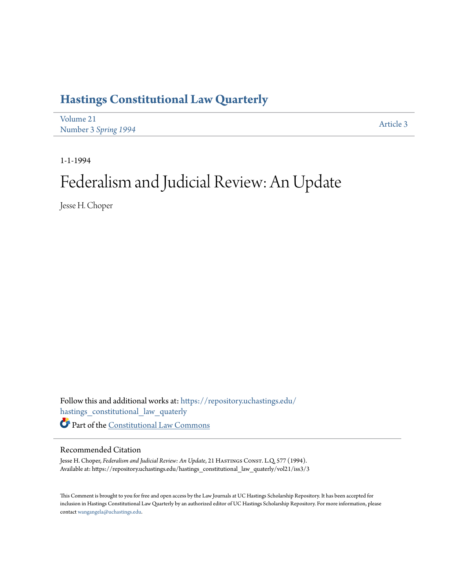# **[Hastings Constitutional Law Quarterly](https://repository.uchastings.edu/hastings_constitutional_law_quaterly?utm_source=repository.uchastings.edu%2Fhastings_constitutional_law_quaterly%2Fvol21%2Fiss3%2F3&utm_medium=PDF&utm_campaign=PDFCoverPages)**

| Volume 21            | Article 3 |
|----------------------|-----------|
| Number 3 Spring 1994 |           |

1-1-1994

# Federalism and Judicial Review: An Update

Jesse H. Choper

Follow this and additional works at: [https://repository.uchastings.edu/](https://repository.uchastings.edu/hastings_constitutional_law_quaterly?utm_source=repository.uchastings.edu%2Fhastings_constitutional_law_quaterly%2Fvol21%2Fiss3%2F3&utm_medium=PDF&utm_campaign=PDFCoverPages) [hastings\\_constitutional\\_law\\_quaterly](https://repository.uchastings.edu/hastings_constitutional_law_quaterly?utm_source=repository.uchastings.edu%2Fhastings_constitutional_law_quaterly%2Fvol21%2Fiss3%2F3&utm_medium=PDF&utm_campaign=PDFCoverPages) Part of the [Constitutional Law Commons](http://network.bepress.com/hgg/discipline/589?utm_source=repository.uchastings.edu%2Fhastings_constitutional_law_quaterly%2Fvol21%2Fiss3%2F3&utm_medium=PDF&utm_campaign=PDFCoverPages)

### Recommended Citation

Jesse H. Choper, *Federalism and Judicial Review: An Update*, 21 HASTINGS CONST. L.Q. 577 (1994). Available at: https://repository.uchastings.edu/hastings\_constitutional\_law\_quaterly/vol21/iss3/3

This Comment is brought to you for free and open access by the Law Journals at UC Hastings Scholarship Repository. It has been accepted for inclusion in Hastings Constitutional Law Quarterly by an authorized editor of UC Hastings Scholarship Repository. For more information, please contact [wangangela@uchastings.edu](mailto:wangangela@uchastings.edu).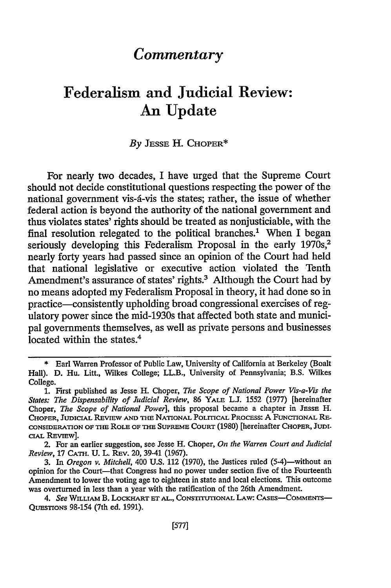## *Commentary*

## Federalism and Judicial Review: An Update

#### *By* **JESSE** H. **CHOPER\***

For nearly two decades, I have urged that the Supreme Court should not decide constitutional questions respecting the power of the national government vis-d-vis the states; rather, the issue of whether federal action is beyond the authority of the national government and thus violates states' rights should be treated as nonjusticiable, with the final resolution relegated to the political branches.' When I began seriously developing this Federalism Proposal in the early 1970s,<sup>2</sup> nearly forty years had passed since an opinion of the Court had held that national legislative or executive action violated the Tenth Amendment's assurance of states' rights.<sup>3</sup> Although the Court had by no means adopted my Federalism Proposal in theory, it had done so in practice-consistently upholding broad congressional exercises of regulatory power since the mid-1930s that affected both state and municipal governments themselves, as well as private persons and businesses located within the states.<sup>4</sup>

**<sup>\*</sup>** Earl Warren Professor of Public Law, University of California at Berkeley (Boalt Hall). D. Hu. Litt., Wilkes College; LL.B., University of Pennsylvania; B.S. Wilkes College.

**<sup>1.</sup>** First published as Jesse H. Choper, *The Scope of National Power Vis-a-Vis the States: The Dispensability of Judicial Review,* 86 YALE **LJ.** 1552 (1977) [hereinafter Choper, *The Scope of National Power*], this proposal became a chapter in JESSE H. CHOPER, JUDICIAL REVIEW **AND** THE NATIONAL POLITICAL PRocEss: A FUNCTIONAL RE-CONSIDERATION **OF** THE ROLE OF **THE SUPREME COURT** (1980) [hereinafter CHOPER, **JUDIcIAL** REVIEW].

<sup>2.</sup> For an earlier suggestion, see Jesse H. Choper, *On the Warren Court and Judicial Review,* 17 CATH. U. L. REv. 20, 39-41 (1967).

<sup>3.</sup> In *Oregon v. Mitchell*, 400 U.S. 112 (1970), the Justices ruled (5-4)—without an opinion for the Court-that Congress had no power under section five of the Fourteenth Amendment to lower the voting age to eighteen in state and local elections. This outcome was overturned in less than a year with the ratification of the 26th Amendment.

*<sup>4.</sup> See* WILLIAM B. LOCKHART **ET** AL., CONSITUTIONAL LAW: CAsEs-COMmENTs-QUESTIONS 98-154 (7th ed. 1991).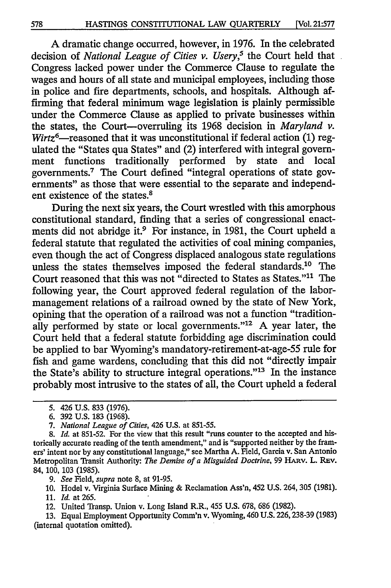A dramatic change occurred, however, in 1976. In the celebrated decision of *National League of Cities v. Usery,5* the Court held that Congress lacked power under the Commerce Clause to regulate the wages and hours of all state and municipal employees, including those in police and fire departments, schools, and hospitals. Although affirming that federal minimum wage legislation is plainly permissible under the Commerce Clause as applied to private businesses within the states, the Court-overruling its 1968 decision in *Maryland v.*  $Wirtz^{6}$ —reasoned that it was unconstitutional if federal action (1) regulated the "States qua States" and (2) interfered with integral government functions traditionally performed by state and local governments.7 The Court defined "integral operations of state governments" as those that were essential to the separate and independent existence of the states.<sup>8</sup>

During the next six years, the Court wrestled with this amorphous constitutional standard, finding that a series of congressional enactments did not abridge it.<sup>9</sup> For instance, in 1981, the Court upheld a federal statute that regulated the activities of coal mining companies, even though the act of Congress displaced analogous state regulations unless the states themselves imposed the federal standards.<sup>10</sup> The Court reasoned that this was not "directed to States as States."<sup>11</sup> The following year, the Court approved federal regulation of the labormanagement relations of a railroad owned by the state of New York, opining that the operation of a railroad was not a function "traditionally performed by state or local governments." $12$  A year later, the Court held that a federal statute forbidding age discrimination could be applied to bar Wyoming's mandatory-retirement-at-age-55 rule for fish and game wardens, concluding that this did not "directly impair the State's ability to structure integral operations."<sup>13</sup> In the instance probably most intrusive to the states of all, the Court upheld a federal

*9. See* Field, *supra* note 8, at 91-95.

10. Hodel v. Virginia Surface Mining & Reclamation Ass'n, 452 U.S. 264, 305 (1981).

12. United Transp. Union v. Long Island R.R., 455 U.S. 678, 686 (1982).

13. Equal Employment Opportunity Comm'n v. Wyoming, 460 U.S. 226, 238-39 (1983) (internal quotation omitted).

<sup>5. 426</sup> U.S. 833 (1976).

<sup>6. 392</sup> U.S. 183 (1968).

*<sup>7.</sup> National League of Cities,* 426 U.S. at 851-55.

<sup>8.</sup> *Id.* at 851-52. For the view that this result "runs counter to the accepted and historically accurate reading of the tenth amendment," and is "supported neither by the framers' intent nor by any constitutional language," see Martha A. Field, Garcia v. San Antonio Metropolitan Transit Authority: *The Demise of a Misguided Doctrine,* 99 HARV. L. REv. 84, 100, 103 (1985).

<sup>11.</sup> *Id.* at 265.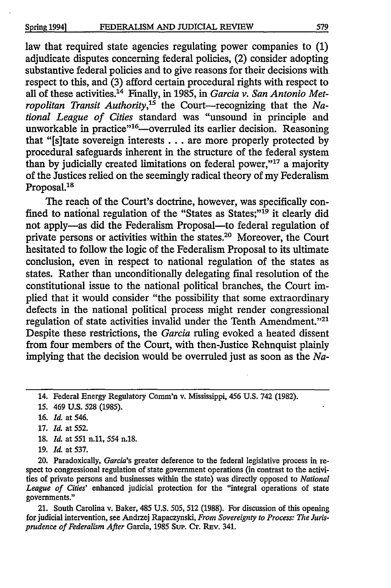law that required state agencies regulating power companies to **(1)** adjudicate disputes concerning federal policies, (2) consider adopting substantive federal policies and to give reasons for their decisions with respect to this, and (3) afford certain procedural rights with respect to all of these activities.14 Finally, in 1985, in *Garcia v. San Antonio Metropolitan Transit Authority*,<sup>15</sup> the Court—recognizing that the *National League of Cities* standard was "unsound in principle and unworkable in practice"<sup>16</sup>—overruled its earlier decision. Reasoning that "[s]tate sovereign interests **...** are more properly protected by procedural safeguards inherent in the structure of the federal system than by judicially created limitations on federal power,"<sup>17</sup> a majority of the Justices relied on the seemingly radical theory of my Federalism Proposal.<sup>18</sup>

The reach of the Court's doctrine, however, was specifically confined to national regulation of the "States as States;"<sup>19</sup> it clearly did not apply-as did the Federalism Proposal-to federal regulation of private persons or activities within the states.20 Moreover, the Court hesitated to follow the logic of the Federalism Proposal to its ultimate conclusion, even in respect to national regulation of the states as states. Rather than unconditionally delegating final resolution of the constitutional issue to the national political branches, the Court implied that it would consider "the possibility that some extraordinary defects in the national political process might render congressional regulation of state activities invalid under the Tenth Amendment."<sup>21</sup> Despite these restrictions, the *Garcia* ruling evoked a heated dissent from four members of the Court, with then-Justice Rehnquist plainly implying that the decision would be overruled just as soon as the *Na-*

14. Federal Energy Regulatory Comm'n v. Mississippi, 456 U.S. 742 (1982).

- **15.** 469 **U.S.** 528 (1985).
- **16.** *Id.* at 546.
- **17.** *Id.* at 552.
- **18.** *Id.* at **551 n.11,** 554 n.18.
- **19.** Id. at 537.

20. Paradoxically, *Garcia's* greater deference to the federal legislative process in respect to congressional regulation of state government operations (in contrast to the activities of private persons and businesses within the state) was directly opposed to *National League of Cities'* enhanced judicial protection for the "integral operations of state governments."

21. South Carolina v. Baker, 485 U.S. 505, **512** (1988). For discussion of this opening for judicial intervention, see Andrzej Rapaczynski, *From Sovereignty to Process: The Jurisprudence of Federalism After* Garcia, 1985 Sup. Or. REv. 341.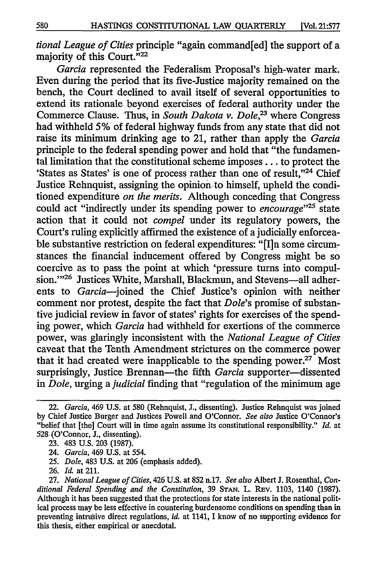*tional League of Cities* principle "again command[ed] the support of a majority of this Court."<sup>22</sup>

*Garcia* represented the Federalism Proposal's high-water mark. Even during the period that its five-Justice majority remained on the bench, the Court declined to avail itself of several opportunities to extend its rationale beyond exercises of federal authority under the Commerce Clause. Thus, in *South Dakota v. Dole*<sup>23</sup> where Congress had withheld 5% of federal highway funds from any state that did not raise its minimum drinking age to 21, rather than apply the *Garcia* principle to the federal spending power and hold that "the fundamental limitation that the constitutional scheme imposes... to protect the 'States as States' is one of process rather than one of result,"24 Chief Justice Rehnquist, assigning the opinion to himself, upheld the conditioned expenditure *on the merits.* Although conceding that Congress could act "indirectly under its spending power to *encourage''25* state action that it could not *compel* under its regulatory powers, the Court's ruling explicitly affirmed the existence of a judicially enforceable substantive restriction on federal expenditures: **"[I]n** some circumstances the financial inducement offered by Congress might be so coercive as to pass the point at which 'pressure turns into compulsion."<sup>26</sup> Justices White, Marshall, Blackmun, and Stevens-all adherents to *Garcia-joined* the Chief Justice's opinion with neither comment nor protest, despite the fact that *Dole's* promise of substantive judicial review in favor of states' fights for exercises of the spending power, which *Garcia* had withheld for exertions of the commerce power, was glaringly inconsistent with the *National League of Cities* caveat that the Tenth Amendment strictures on the commerce power that it had created were inapplicable to the spending power. $27$  Most surprisingly, Justice Brennan-the fifth *Garcia* supporter-dissented in *Dole,* urging a *judicial* finding that "regulation of the minimum age

<sup>22.</sup> *Garcia,* 469 U.S. at 580 (Rehnquist, **J.,** dissenting). Justice Rehnquist was joined by Chief Justice Burger and Justices Powell and O'Connor. *See also* Justice O'Connor's "belief that [the] Court will in time again assume its constitutional responsibility." *Id.* at 528 (O'Connor, J., dissenting).

<sup>23. 483</sup> U.S. 203 (1987).

<sup>24.</sup> *Garcia,* 469 U.S. at 554.

<sup>25.</sup> *Dole,* 483 U.S. at 206 (emphasis added).

<sup>26.</sup> *Id.* at 211.

<sup>27.</sup> *National League of Cities,* 426 U.S. at 852 n.17. *See also* Albert **J.** Rosenthal, *Conditional Federal Spending and the Constitution,* 39 **STAN.** L. Rev. **1103,** 1140 (1987). Although it has been suggested that the protections for state interests in the national political process may be less effective in countering burdensome conditions on spending than in preventing intrusive direct regulations, *id.* at 1141, I know of no supporting evidence for this thesis, either empirical or anecdotal.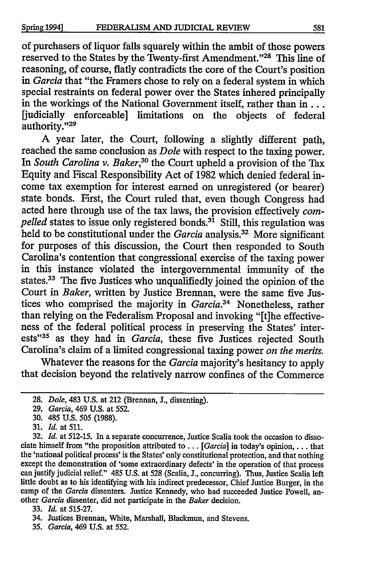of purchasers of liquor falls squarely within the ambit of those powers reserved to the States by the Twenty-first Amendment."28 This line of reasoning, of course, flatly contradicts the core of the Court's position *in Garcia* that "the Framers chose to rely on a federal system in which special restraints on federal power over the States inhered principally in the workings of the National Government itself, rather than in... [judicially enforceable] limitations on the objects of federal authority."29

A year later, the Court, following a slightly different path, reached the same conclusion as *Dole* with respect to the taxing power. In *South Carolina v. Baker*,<sup>30</sup> the Court upheld a provision of the Tax Equity and Fiscal Responsibility Act of 1982 which denied federal income tax exemption for interest earned on unregistered (or bearer) state bonds. First, the Court ruled that, even though Congress had acted here through use of the tax laws, the provision effectively *compelled* states to issue only registered bonds.<sup>31</sup> Still, this regulation was held to be constitutional under the *Garcia* analysis.<sup>32</sup> More significant for purposes of this discussion, the Court then responded to South Carolina's contention that congressional exercise of the taxing power in this instance violated the intergovernmental immunity of the states.<sup>33</sup> The five Justices who unqualifiedly joined the opinion of the Court in *Baker,* written **by** Justice Brennan, were the same five Justices who comprised the majority in *Garcia.34* Nonetheless, rather than relying on the Federalism Proposal and invoking "[tihe effectiveness of the federal political process in preserving the States' interests"<sup>35</sup> as they had in *Garcia*, these five Justices rejected South Carolina's claim of a limited congressional taxing power *on the merits.*

Whatever the reasons for the *Garcia* majority's hesitancy to apply that decision beyond the relatively narrow confines of the Commerce

- **30.** 485 U.S. **505** (1988).
- **31.** *Id.* at 511.

**<sup>28.</sup>** *Dole,* 483 U.S. at 212 (Brennan, **J.,** dissenting).

**<sup>29.</sup>** *Garcia,* 469 U.S. at **552.**

**<sup>32.</sup>** *Id.* at **512-15.** In a separate concurrence, Justice Scalia took the occasion to dissociate himself from "the proposition attributed to . . *. [Garcia]* in today's opinion, . . . that the 'national political process' is the States' only constitutional protection, and that nothing except the demonstration of 'some extraordinary defects' in the operation of that process can justify judicial relief." 485 U.S. at **528** (Scalia, J., concurring). Thus, Justice Scalia left little doubt as to his identifying with his indirect predecessor, Chief Justice Burger, in the camp of the *Garcia* dissenters. Justice Kennedy, who had succeeded Justice Powell, another *Garcia* dissenter, did not participate in the *Baker* decision.

**<sup>33.</sup>** *Id.* at **515-27.**

<sup>34.</sup> Justices Brennan, White, Marshall, Blackmun, and Stevens.

*<sup>35.</sup> Garcia,* 469 U.S. at **552.**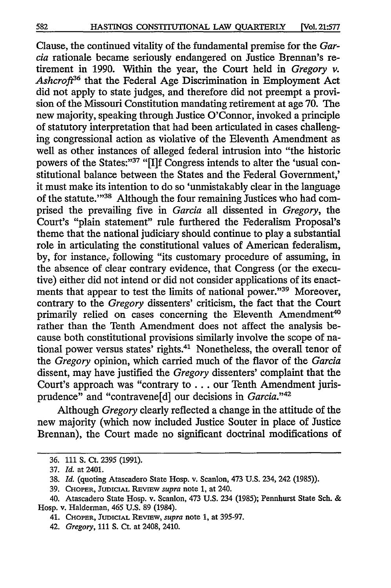Clause, the continued vitality of the fundamental premise for the *Garcia* rationale became seriously endangered on Justice Brennan's retirement in 1990. Within the year, the Court held in *Gregory v. Ashcroft36* that the Federal Age Discrimination in Employment Act did not apply to state judges, and therefore did not preempt a provision of the Missouri Constitution mandating retirement at age 70. The new majority, speaking through Justice O'Connor, invoked a principle of statutory interpretation that had been articulated in cases challenging congressional action as violative of the Eleventh Amendment as well as other instances of alleged federal intrusion into "the historic powers of the States:"<sup>37</sup> "[I]f Congress intends to alter the 'usual constitutional balance between the States and the Federal Government,' it must make its intention to do so 'unmistakably clear in the language of the statute."<sup>38</sup> Although the four remaining Justices who had comprised the prevailing five in *Garcia* all dissented in *Gregory,* the Court's "plain statement" rule furthered the Federalism Proposal's theme that the national judiciary should continue to play a substantial role in articulating the constitutional values of American federalism, by, for instance, following "its customary procedure of assuming, in the absence of clear contrary evidence, that Congress (or the executive) either did not intend or did not consider applications of its enactments that appear to test the limits of national power."<sup>39</sup> Moreover, contrary to the *Gregory* dissenters' criticism, the fact that the Court primarily relied on cases concerning the Eleventh Amendment<sup>40</sup> rather than the Tenth Amendment does not affect the analysis because both constitutional provisions similarly involve the scope of national power versus states' rights.<sup>41</sup> Nonetheless, the overall tenor of the *Gregory* opinion, which carried much of the flavor of the *Garcia* dissent, may have justified the *Gregory* dissenters' complaint that the Court's approach was "contrary to... our Tenth Amendment jurisprudence" and "contravene[d] our decisions in *Garcia."'42*

Although *Gregory* clearly reflected a change in the attitude of the new majority (which now included Justice Souter in place of Justice Brennan), the Court made no significant doctrinal modifications of

<sup>36. 111</sup> **S.** Ct. 2395 (1991).

<sup>37.</sup> *Id.* at 2401.

<sup>38.</sup> *Id.* (quoting Atascadero State Hosp. v. Scanlon, 473 U.S. 234, 242 (1985)).

<sup>39.</sup> CHOPER, JUDICIAL REVIEW *supra* note 1, at 240.

<sup>40.</sup> Atascadero State Hosp. v. Scanlon, 473 U.S. 234 (1985); Pennhurst State Sch. & Hosp. v. Halderman, 465 U.S. 89 (1984).

<sup>41.</sup> CHOPER, JUDICIAL REVIEW, *supra* note 1, at 395-97.

<sup>42.</sup> *Gregory,* 111 **S.** Ct. at 2408, 2410.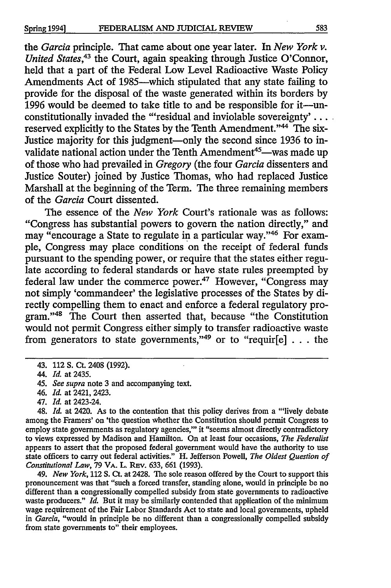the *Garcia* principle. That came about one year later. In *New York v. United States,43* the Court, again speaking through Justice O'Connor, held that a part of the Federal Low Level Radioactive Waste Policy Amendments Act of 1985—which stipulated that any state failing to provide for the disposal of the waste generated within its borders by 1996 would be deemed to take title to and be responsible for it-unconstitutionally invaded the "'residual and inviolable sovereignty' . . . . reserved explicitly to the States by the Tenth Amendment."<sup>44</sup> The six-Justice majority for this judgment—only the second since 1936 to invalidate national action under the Tenth Amendment<sup>45</sup>—was made up of those who had prevailed in *Gregory* (the four *Garcia* dissenters and Justice Souter) joined by Justice Thomas, who had replaced Justice Marshall at the beginning of the Term. The three remaining members of the *Garcia* Court dissented.

The essence of the *New York* Court's rationale was as follows: "Congress has substantial powers to govern the nation directly," and may "encourage a State to regulate in a particular way."46 For example, Congress may place conditions on the receipt of federal funds pursuant to the spending power, or require that the states either regulate according to federal standards or have state rules preempted by federal law under the commerce power.<sup>47</sup> However, "Congress may not simply 'commandeer' the legislative processes of the States by directly compelling them to enact and enforce a federal regulatory program."'48 The Court then asserted that, because "the Constitution would not permit Congress either simply to transfer radioactive waste from generators to state governments,"<sup>49</sup> or to "requir $[e]$ ... the

- 46. *Id.* at 2421, 2423.
- 47. *Id.* at 2423-24.

48. *Id.* at 2420. As to the contention that this policy derives from a "'lively debate among the Framers' on 'the question whether the Constitution should permit Congress to employ state governments as regulatory agencies,"' it "seems almost directly contradictory to views expressed by Madison and Hamilton. On at least four occasions, *The Federalist* appears to assert that the proposed federal government would have the authority to use state officers to carry out federal activities." H. Jefferson Powell, *The Oldest Question of Constitutional Law, 79 VA. L. REv. 633, 661 (1993).* 

49. *New York,* **112 S.** Ct. at 2428. The sole reason offered by the Court to support this pronouncement was that "such a forced transfer, standing alone, would in principle be no different than a congressionally compelled subsidy from state governments to radioactive waste producers." *Id.* But it may be similarly contended that application of the minimum wage requirement of the Fair Labor Standards Act to state and local governments, upheld in *Garcia,* "would in principle be no different than a congressionally compelled subsidy from state governments to" their employees.

**<sup>43. 112</sup> S. Ct. 2408 (1992).**

<sup>44.</sup> *Id.* at 2435.

<sup>45.</sup> *See supra* note 3 and accompanying text.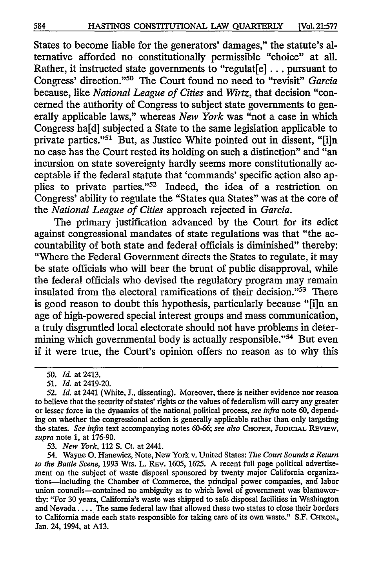States to become liable for the generators' damages," the statute's alternative afforded no constitutionally permissible "choice" at all. Rather, it instructed state governments to "regulat[e] **...** pursuant to Congress' direction."<sup>50</sup> The Court found no need to "revisit" *Garcia* because, like *National League of Cities* and *Wirtz,* that decision "concerned the authority of Congress to subject state governments to generally applicable laws," whereas *New York* was "not a case in which Congress ha[d] subjected a State to the same legislation applicable to private parties."<sup>51</sup> But, as Justice White pointed out in dissent, "[i]n no case has the Court rested its holding on such a distinction" and "an incursion on state sovereignty hardly seems more constitutionally acceptable if the federal statute that 'commands' specific action also applies to private parties."<sup>52</sup> Indeed, the idea of a restriction on Congress' ability to regulate the "States qua States" was at the core of the *National League of Cities* approach rejected in *Garcia.*

The primary justification advanced **by** the Court for its edict against congressional mandates of state regulations was that "the accountability of both state and federal officials is diminished" thereby: "Where the Federal Government directs the States to regulate, it may be state officials who will bear the brunt of public disapproval, while the federal officials who devised the regulatory program may remain insulated from the electoral ramifications of their decision."<sup>53</sup> There is good reason to doubt this hypothesis, particularly because **"[i]n** an age of high-powered special interest groups and mass communication, a truly disgruntled local electorate should not have problems in determining which governmental body is actually responsible."<sup>54</sup> But even if it were true, the Court's opinion offers no reason as to why this

**53.** *New York,* 112 **S.** Ct. at 2441.

**<sup>50.</sup>** *Id.* at 2413.

**<sup>51.</sup>** *Id.* at 2419-20.

**<sup>52.</sup>** *Id.* at 2441 (White, **J.,** dissenting). Moreover, there is neither evidence nor reason to believe that the security of states' rights or the values of federalism will carry any greater or lesser force in the dynamics of the national political process, *see infra* note **60,** depending on whether the congressional action is generally applicable rather than only targeting the states. *See infra* text accompanying notes **60-66;** *see also* **CHOPER, JUDICIAL REVIEW,** *supra* note **1,** at **176-90.**

<sup>54.</sup> Wayne **0.** Hanewicz, Note, New York v. United States: *The Court Sounds a Return to the Battle Scene,* **1993** Wis. L. REv. **1605, 1625. A** recent **full** page political advertisement on the subject of waste disposal sponsored **by** twenty major California organizations-including the Chamber of Commerce, the principal power companies, and labor union councils-contained no ambiguity as to which level of government was blameworthy: "For **30** years, California's waste was shipped to safe disposal facilities in Washington and Nevada.. **. .** The same federal law that allowed these two states to close their borders to California made each state responsible for taking care of its own waste." **S.F. CHRON.,** Jan. 24, 1994, at **A13.**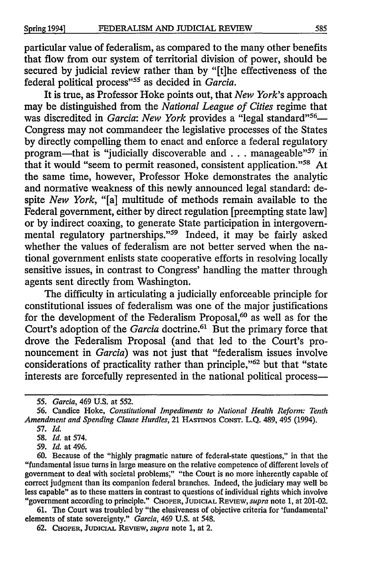particular value of federalism, as compared to the many other benefits that flow from our system of territorial division of power, should be secured by judicial review rather than by "[t]he effectiveness of the federal political process"<sup>55</sup> as decided in *Garcia*.

It is true, as Professor Hoke points out, that *New York's* approach may be distinguished from the *National League of Cities* regime that was discredited in *Garcia: New York* provides a "legal standard"<sup>56</sup>-Congress may not commandeer the legislative processes of the States by directly compelling them to enact and enforce a federal regulatory program—that is "judicially discoverable and . . . manageable"<sup>57</sup> in that it would "seem to permit reasoned, consistent application."<sup>58</sup> At the same time, however, Professor Hoke demonstrates the analytic and normative weakness of this newly announced legal standard: despite *New York,* "[a] multitude of methods remain available to the Federal government, either by direct regulation [preempting state law] or by indirect coaxing, to generate State participation in intergovernmental regulatory partnerships."<sup>59</sup> Indeed, it may be fairly asked whether the values of federalism are not better served when the national government enlists state cooperative efforts in resolving locally sensitive issues, in contrast to Congress' handling the matter through agents sent directly from Washington.

The difficulty in articulating a judicially enforceable principle for constitutional issues of federalism was one of the major justifications for the development of the Federalism Proposal,<sup>60</sup> as well as for the Court's adoption of the *Garcia* doctrine.<sup>61</sup> But the primary force that drove the Federalism Proposal (and that led to the Court's pronouncement in *Garcia)* was not just that "federalism issues involve considerations of practicality rather than principle,"<sup>62</sup> but that "state interests are forcefully represented in the national political process-

57. *Id.*

58. *Id.* at 574.

59. *Id.* at 496.

60. Because of the "highly pragmatic nature of federal-state questions," in that the "fundamental issue turns in large measure on the relative competence of different levels of government to deal with societal problems;" "the Court is no more inherently capable of correct judgment than its companion federal branches. Indeed, the judiciary may well be less capable" as to these matters in contrast to questions of individual rights which involve "government according to principle." CHOPER, JUDICIAL REVIEW, *supra* note 1, at 201-02.

**61.** The Court was troubled by "the elusiveness of objective criteria for 'fundamental' elements of state sovereignty." *Garcia,* 469 U.S. at 548.

62. **CHOPER, JUDICIAL** REvmw, *supra* note 1, at 2.

*<sup>55.</sup> Garcia,* 469 U.S. at 552.

<sup>56.</sup> Candice Hoke, *Constitutional Impediments to National Health Reform: Tenth Amendment and Spending Clause Hurdles,* 21 HASTINGS CONST. **L.Q.** 489, 495 (1994).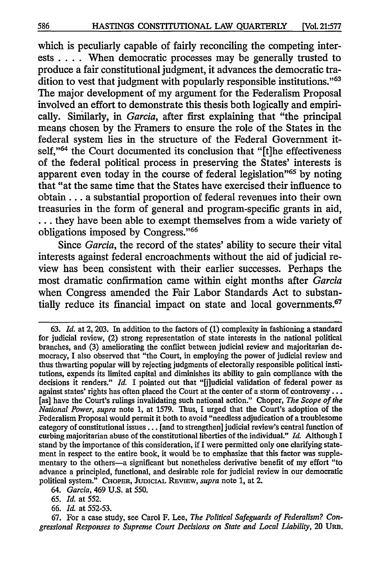which is peculiarly capable of fairly reconciling the competing interests .... When democratic processes may be generally trusted to produce a fair constitutional judgment, it advances the democratic tradition to vest that judgment with popularly responsible institutions."<sup>63</sup> The major development of my argument for the Federalism Proposal involved an effort to demonstrate this thesis both logically and empirically. Similarly, in *Garcia,* after first explaining that "the principal means chosen by the Framers to ensure the role of the States in the federal system lies in the structure of the Federal Government itself,"<sup>64</sup> the Court documented its conclusion that "[t]he effectiveness of the federal political process in preserving the States' interests is apparent even today in the course of federal legislation<sup>365</sup> by noting that "at the same time that the States have exercised their influence to obtain.., a substantial proportion of federal revenues into their own treasuries in the form of general and program-specific grants in aid, **-..** they have been able to exempt themselves from a wide variety of obligations imposed by Congress."<sup>66</sup>

Since *Garcia,* the record of the states' ability to secure their vital interests against federal encroachments without the aid of judicial review has been consistent with their earlier successes. Perhaps the most dramatic confirmation came within eight months after *Garcia* when Congress amended the Fair Labor Standards Act to substantially reduce its financial impact on state and local governments.<sup>67</sup>

**67.** For a case study, see Carol F. Lee, *The Political Safeguards of Federalism? Con*gressional Responses to Supreme Court Decisions on State and Local Liability, 20 URB.

<sup>63.</sup> *Id.* at 2, 203. In addition to the factors of (1) complexity in fashioning a standard for judicial review, (2) strong representation of state interests in the national political branches, and (3) ameliorating the conflict between judicial review and majoritarian democracy, I also observed that "the Court, in employing the power of judicial review and thus thwarting popular will by rejecting judgments of electorally responsible political institutions, expends its limited capital and diminishes its ability to gain compliance with the decisions it renders." *Id.* I pointed out that "[j]udicial validation of federal power as against states' rights has often placed the Court at the center of a storm of controversy... [as] have the Court's rulings invalidating such national action." Choper, *The Scope of the National Power, supra* note 1, at 1579. Thus, I urged that the Court's adoption of the Federalism Proposal would permit it both to avoid "needless adjudication of a troublesome category of constitutional issues **...** [and to strengthen] judicial review's central function of curbing majoritarian abuse of the constitutional liberties of the individual." *Id.* Although I stand by the importance of this consideration, if I were permitted only one clarifying statement in respect to the entire book, it would be to emphasize that this factor was supplementary to the others-a significant but nonetheless derivative benefit of my effort "to advance a principled, functional, and desirable role for judicial review in our democratic political system." CHOPER, **JUDICIAL** REvIEw, *supra* note **1,** at 2.

*<sup>64.</sup> Garcia,* 469 U.S. at 550.

<sup>65.</sup> *Id.* at 552.

**<sup>66.</sup>** *Id.* at 552-53.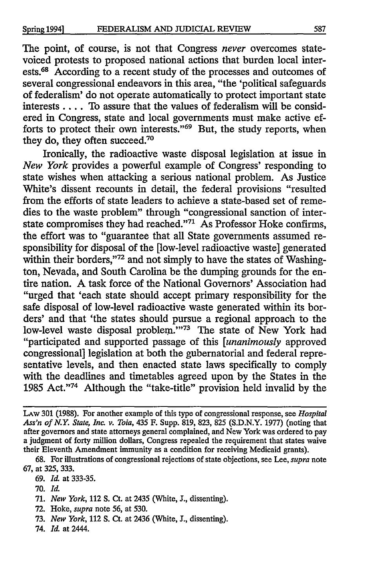The point, of course, is not that Congress *never* overcomes statevoiced protests to proposed national actions that burden local interests.<sup>68</sup> According to a recent study of the processes and outcomes of several congressional endeavors in this area, "the 'political safeguards of federalism' do not operate automatically to protect important state interests .... To assure that the values of federalism will be considered in Congress, state and local governments must make active efforts to protect their own interests."<sup>69</sup> But, the study reports, when they do, they often succeed.<sup>70</sup>

Ironically, the radioactive waste disposal legislation at issue in *New York* provides a powerful example of Congress' responding to state wishes when attacking a serious national problem. As Justice White's dissent recounts in detail, the federal provisions "resulted from the efforts of state leaders to achieve a state-based set of remedies to the waste problem" through "congressional sanction of interstate compromises they had reached."<sup>71</sup> As Professor Hoke confirms, the effort was to "guarantee that all State governments assumed responsibility for disposal of the [low-level radioactive waste] generated within their borders,"72 and not simply to have the states of Washington, Nevada, and South Carolina be the dumping grounds for the entire nation. A task force of the National Governors' Association had "urged that 'each state should accept primary responsibility for the safe disposal of low-level radioactive waste generated within its borders' and that 'the states should pursue a regional approach to the low-level waste disposal problem."<sup>73</sup> The state of New York had "participated and supported passage of this *[unanimously* approved congressional] legislation at both the gubernatorial and federal representative levels, and then enacted state laws specifically to comply with the deadlines and timetables agreed upon by the States in the 1985 Act."74 Although the "take-title" provision held invalid by the

**70. Id.**

- 72. Hoke, *supra* note 56, at 530.
- 73. *New York,* 112 S. Ct. at 2436 (White, **J.,** dissenting).
- 74. *Id.* at 2444.

LAW 301 (1988). For another example of this type of congressional response, see *Hospital Ass'n of N.Y. State, Inc, v. Toia,* 435 F. Supp. 819, 823, 825 (S.D.N.Y. 1977) (noting that after governors and state attorneys general complained, and New York was ordered to pay a judgment of forty million dollars, Congress repealed the requirement that states waive their Eleventh Amendment immunity as a condition for receiving Medicaid grants).

<sup>68.</sup> For illustrations of congressional rejections of state objections, see Lee, *supra* note 67, at 325, 333.

<sup>69.</sup> *Id.* at 333-35.

**<sup>71.</sup>** *New York,* 112 **S.** Ct. at 2435 (White, **J.,** dissenting).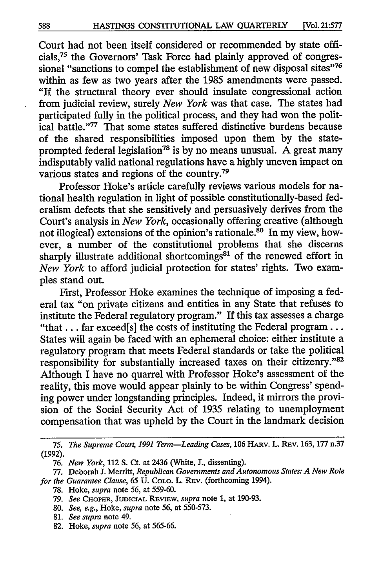Court had not been itself considered or recommended by state officials,75 the Governors' Task Force had plainly approved of congressional "sanctions to compel the establishment of new disposal sites"<sup>76</sup> within as few as two years after the 1985 amendments were passed. "If the structural theory ever should insulate congressional action from judicial review, surely *New York* was that case. The states had participated fully in the political process, and they had won the political battle."<sup>77</sup> That some states suffered distinctive burdens because of the shared responsibilities imposed upon them by the stateprompted federal legislation<sup>78</sup> is by no means unusual. A great many indisputably valid national regulations have a highly uneven impact on various states and regions of the country.<sup>79</sup>

Professor Hoke's article carefully reviews various models for national health regulation in light of possible constitutionally-based federalism defects that she sensitively and persuasively derives from the Court's analysis in *New York,* occasionally offering creative (although not illogical) extensions of the opinion's rationale.<sup>80</sup> In my view, however, a number of the constitutional problems that she discerns sharply illustrate additional shortcomings<sup>81</sup> of the renewed effort in *New York* to afford judicial protection for states' rights. Two examples stand out.

First, Professor Hoke examines the technique of imposing a federal tax "on private citizens and entities in any State that refuses to institute the Federal regulatory program." If this tax assesses a charge "that... far exceed[s] the costs of instituting the Federal program... States will again be faced with an ephemeral choice: either institute a regulatory program that meets Federal standards or take the political responsibility for substantially increased taxes on their citizenry."82 Although I have no quarrel with Professor Hoke's assessment of the reality, this move would appear plainly to be within Congress' spending power under longstanding principles. Indeed, it mirrors the provision of the Social Security Act of 1935 relating to unemployment compensation that was upheld by the Court in the landmark decision

*<sup>75.</sup> The Supreme Court, 1991 Term-Leading Cases,* **106** HARV. L. REv. 163, 177 n.37 (1992).

<sup>76.</sup> *New York,* 112 S. Ct. at 2436 (White, **J.,** dissenting).

<sup>77.</sup> Deborah J. Merritt, *Republican Governments and Autonomous States: A New Role for the Guarantee Clause,* **65 U.** COLO. L. REv. (forthcoming 1994).

<sup>78.</sup> Hoke, *supra* note **56,** at 559-60.

**<sup>79.</sup>** *See* **CHOPER, JUDICIAL REVIEW,** *supra* note **1,** at **190-93.**

<sup>80.</sup> *See, e.g.,* Hoke, *supra* note 56, at 550-573.

<sup>81.</sup> *See supra* note 49.

<sup>82.</sup> Hoke, *supra* note 56, at 565-66.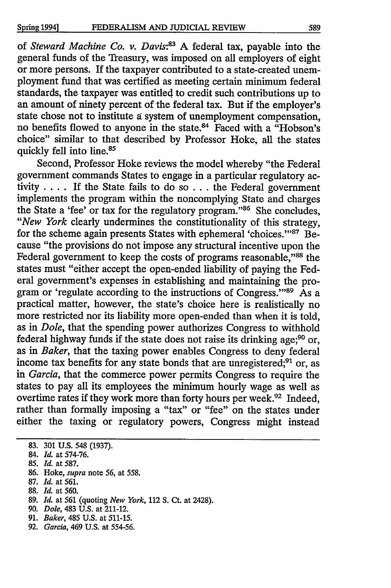of *Steward Machine Co. v. Davis:83* A federal tax, payable into the general funds of the Treasury, was imposed on all employers of eight or more persons. If the taxpayer contributed to a state-created unemployment fund that was certified as meeting certain minimum federal standards, the taxpayer was entitled to credit such contributions up to an amount of ninety percent of the federal tax. But if the employer's state chose not to institute a system of unemployment compensation no benefits flowed to anyone in the state.<sup>84</sup> Faced with a "Hobson's choice" similar to that described by Professor Hoke, all the states quickly fell into line. <sup>85</sup>

Second, Professor Hoke reviews the model whereby "the Federal government commands States to engage in a particular regulatory activity .... If the State fails to do so ... the Federal government implements the program within the noncomplying State and charges the State a 'fee' or tax for the regulatory program."<sup>86</sup> She concludes, *"New York* clearly undermines the constitutionality of this strategy, for the scheme again presents States with ephemeral 'choices."<sup>87</sup> Because "the provisions do not impose any structural incentive upon the Federal government to keep the costs of programs reasonable,"88 the states must "either accept the open-ended liability of paying the Federal government's expenses in establishing and maintaining the program or 'regulate according to the instructions of Congress."<sup>89</sup> As a practical matter, however, the state's choice here is realistically no more restricted nor its liability more open-ended than when it is told, as in *Dole,* that the spending power authorizes Congress to withhold federal highway funds if the state does not raise its drinking age;<sup>90</sup> or, as in *Baker,* that the taxing power enables Congress to deny federal income tax benefits for any state bonds that are unregistered;<sup>91</sup> or, as in *Garcia,* that the commerce power permits Congress to require the states to pay all its employees the minimum hourly wage as well as overtime rates if they work more than forty hours per week.<sup>92</sup> Indeed, rather than formally imposing a "tax" or "fee" on the states under either the taxing or regulatory powers, Congress might instead

- 86. Hoke, *supra* note 56, at 558.
- 87. *Id.* at 561.
- 88. *Id.* at 560.
- 89. *Id.* at 561 (quoting *New York,* 112 **S.** Ct. at 2428).
- 90. *Dole,* 483 U.S. at 211-12.
- 91. *Baker,* 485 U.S. at 511-15.
- 92. *Garcia,* 469 U.S. at 554-56.

**<sup>83. 301</sup> U.S.** 548 (1937).

<sup>84.</sup> *Id.* at 574-76.

<sup>85.</sup> *Id.* at 587.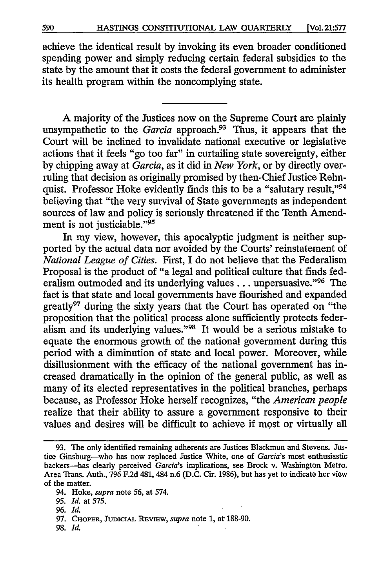achieve the identical result by invoking its even broader conditioned spending power and simply reducing certain federal subsidies to the state by the amount that it costs the federal government to administer its health program within the noncomplying state.

A majority of the Justices now on the Supreme Court are plainly unsympathetic to the *Garcia* approach.93 Thus, it appears that the Court will be inclined to invalidate national executive or legislative actions that it feels "go too far" in curtailing state sovereignty, either by chipping away at *Garcia,* as it did in *New York,* or by directly overruling that decision as originally promised by then-Chief Justice Rehnquist. Professor Hoke evidently finds this to be a "salutary result,"<sup>94</sup> believing that "the very survival of State governments as independent sources of law and policy is seriously threatened if the Tenth Amendment is not justiciable."<sup>95</sup>

In my view, however, this apocalyptic judgment is neither supported by the actual data nor avoided by the Courts' reinstatement of *National League of Cities.* First, I do not believe that the Federalism Proposal is the product of "a legal and political culture that finds federalism outmoded and its underlying values... unpersuasive."96 The fact is that state and local governments have flourished and expanded greatly<sup>97</sup> during the sixty years that the Court has operated on "the proposition that the political process alone sufficiently protects federalism and its underlying values."<sup>98</sup> It would be a serious mistake to equate the enormous growth of the national government during this period with a diminution of state and local power. Moreover, while disillusionment with the efficacy of the national government has increased dramatically in the opinion of the general public, as well as many of its elected representatives in the political branches, perhaps because, as Professor Hoke herself recognizes, "the *American people* realize that their ability to assure a government responsive to their values and desires will be difficult to achieve if most or virtually all

<sup>93.</sup> The only identified remaining adherents are Justices Blackmun and Stevens. Justice Ginsburg-who has now replaced Justice White, one of *Garcia's* most enthusiastic backers-has clearly perceived *Garcia's* implications, see Brock v. Washington Metro. Area Trans. Auth., 796 F.2d 481, 484 n.6 (D.C. Cir. 1986), but has yet to indicate her view of the matter.

<sup>94.</sup> Hoke, *supra* note 56, at 574.

<sup>95.</sup> *Id.* at 575.

<sup>96.</sup> *Id.*

**<sup>97.</sup> CHOPER, JUDICIAL** REvIEw, *supra* note **1,** at 188-90.

<sup>98.</sup> *Id.*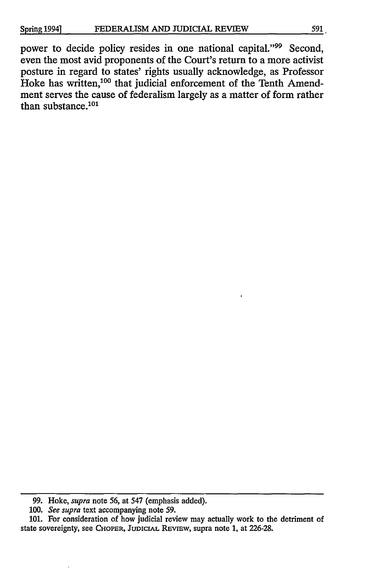power to decide policy resides in one national capital."<sup>99</sup> Second, even the most avid proponents of the Court's return to a more activist posture in regard to states' rights usually acknowledge, as Professor Hoke has written,<sup>100</sup> that judicial enforcement of the Tenth Amendment serves the cause of federalism largely as a matter of form rather than substance. $101$ 

**<sup>99.</sup>** Hoke, *supra* note 56, at 547 (emphasis added).

*<sup>100.</sup> See supra* text accompanying note 59.

<sup>101.</sup> For consideration of how judicial review may actually work to the detriment of state sovereignty, see CHOPER, **JUDICIAL REvIEw,** supra note 1, at 226-28.